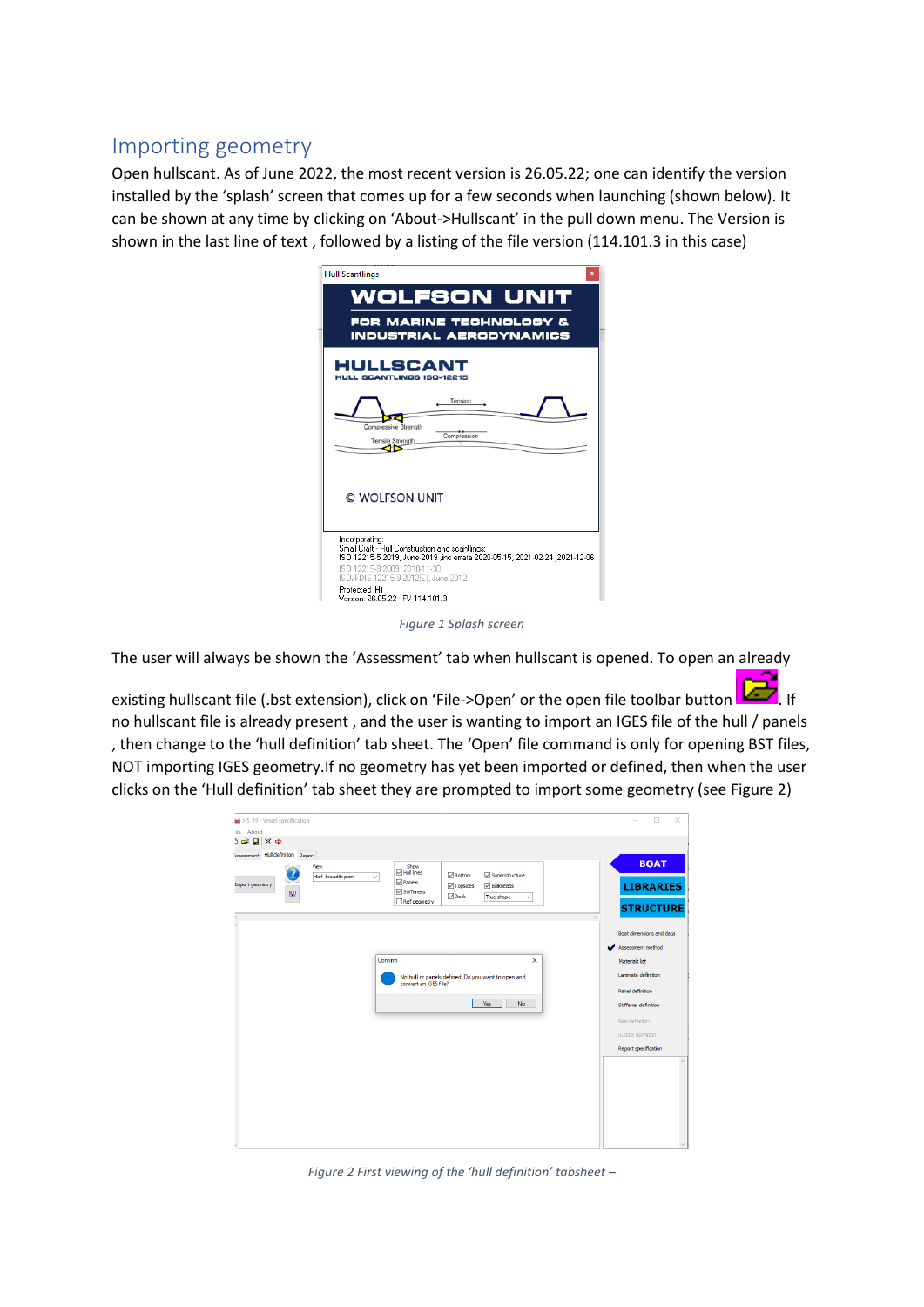## Importing geometry

Open hullscant. As of June 2022, the most recent version is 26.05.22; one can identify the version installed by the 'splash' screen that comes up for a few seconds when launching (shown below). It can be shown at any time by clicking on 'About->Hullscant' in the pull down menu. The Version is shown in the last line of text , followed by a listing of the file version (114.101.3 in this case)

| <b>Hull Scantlings</b>                                                                                                                                                                                                                                                   |
|--------------------------------------------------------------------------------------------------------------------------------------------------------------------------------------------------------------------------------------------------------------------------|
| <b>WOLFSON UNIT</b><br>FOR MARINE TECHNOLOGY &<br><b>INDUSTRIAL AERODYNAMICS</b>                                                                                                                                                                                         |
| HULLSCANT<br><b>HULL SCANTLINGS ISO-12215</b><br>Tension<br>Compressive Strength<br>Compression<br><b>Tensile Strength</b>                                                                                                                                               |
| © WOLFSON UNIT                                                                                                                                                                                                                                                           |
| Incorporating:<br>Small Craft - Hull Construction and scantlings:<br>ISO 12215-5:2019. June-2019 .inc errata 2020-05-15. 2021-02-24 2021-12-06<br>ISO 12215-8:2009. 2010-11-30<br>ISO/FDIS 12215-9:2012(E), June 2012<br>Protected (H)<br>Version: 26.05.22 FV 114.101.3 |
|                                                                                                                                                                                                                                                                          |

*Figure 1 Splash screen*

The user will always be shown the 'Assessment' tab when hullscant is opened. To open an already

existing hullscant file (.bst extension), click on 'File->Open' or the open file toolbar button **...**........... no hullscant file is already present , and the user is wanting to import an IGES file of the hull / panels , then change to the 'hull definition' tab sheet. The 'Open' file command is only for opening BST files, NOT importing IGES geometry.If no geometry has yet been imported or defined, then when the user clicks on the 'Hull definition' tab sheet they are prompted to import some geometry (see [Figure 2\)](#page-0-0)

| HS '19 - Vessel specification                                               | $\Box$<br>$\times$                   |
|-----------------------------------------------------------------------------|--------------------------------------|
| About<br>ile                                                                |                                      |
| )ទព∣¤ម                                                                      |                                      |
| Assessment Hull definition Report                                           |                                      |
| Show<br>View<br>⊡ Hull Ines                                                 | <b>BOAT</b>                          |
| Bottom<br>Half breadth plan<br>$\checkmark$<br>$\n  Penels\n$               | Superstructure                       |
| Import geometry<br>$\Box$ Topsides<br><b>⊘</b> Stiffeners<br>w              | <b>LIBRARIES</b><br><b>Bulkheads</b> |
| $\nabla$ Deck<br>Ref geometry                                               | True shape<br>$\checkmark$           |
|                                                                             | <b>STRUCTURE</b>                     |
|                                                                             |                                      |
|                                                                             | Boat dimensions and data             |
|                                                                             | Assessment method                    |
| Confirm                                                                     | $\times$<br>Materials list           |
|                                                                             |                                      |
| No hull or panels defined. Do you want to open and<br>convert an IGES file? | Laminate definition                  |
|                                                                             | Panel definition                     |
| Yes                                                                         | No<br>Stiffener definition           |
|                                                                             |                                      |
|                                                                             | Keel definition                      |
|                                                                             | Rudder definition                    |
|                                                                             | Report specification                 |
|                                                                             | $\wedge$                             |
|                                                                             |                                      |
|                                                                             |                                      |
|                                                                             |                                      |
|                                                                             |                                      |
|                                                                             |                                      |
|                                                                             |                                      |
|                                                                             |                                      |
|                                                                             | $\vee$                               |

<span id="page-0-0"></span>*Figure 2 First viewing of the 'hull definition' tabsheet –*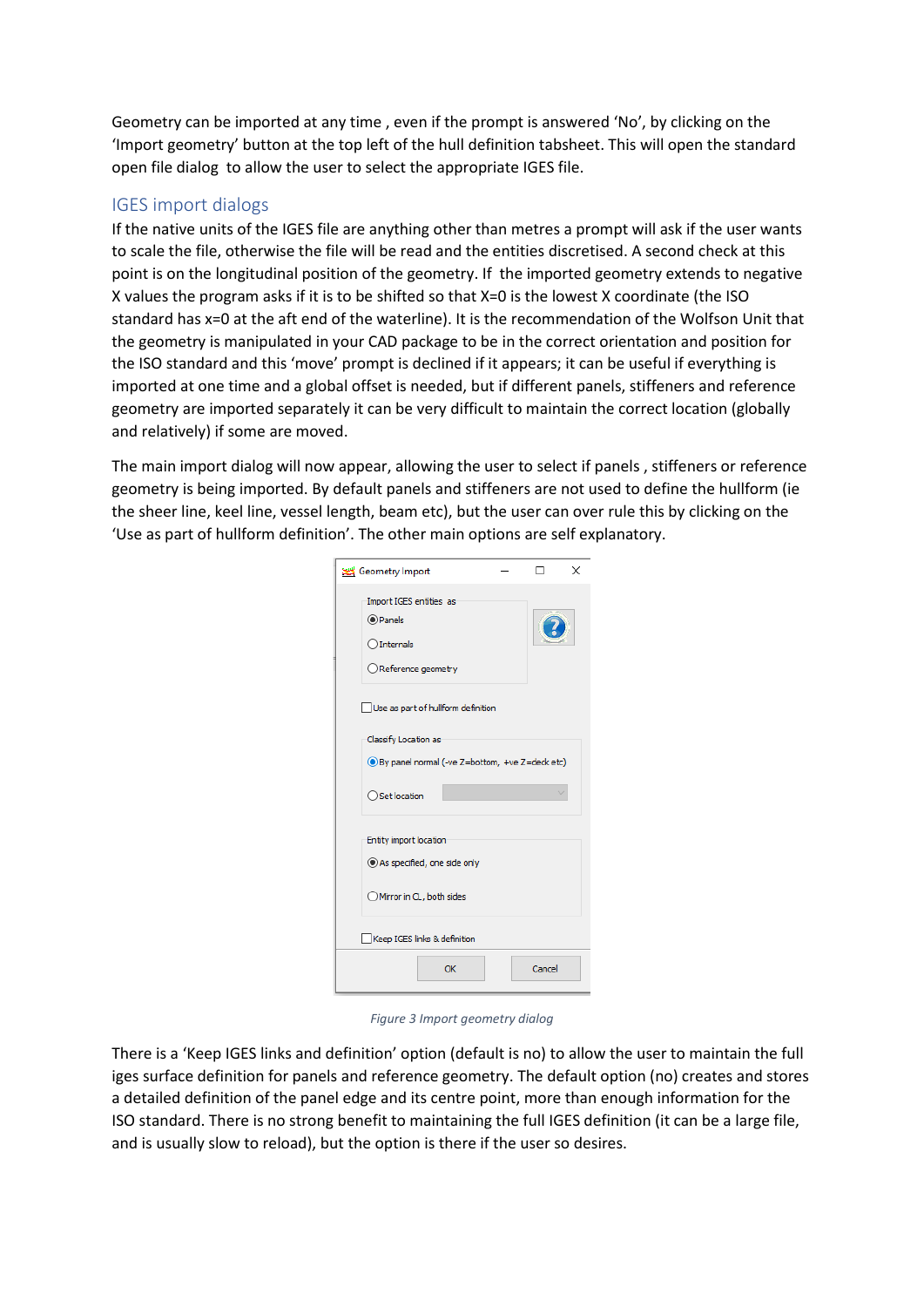Geometry can be imported at any time , even if the prompt is answered 'No', by clicking on the 'Import geometry' button at the top left of the hull definition tabsheet. This will open the standard open file dialog to allow the user to select the appropriate IGES file.

## IGES import dialogs

If the native units of the IGES file are anything other than metres a prompt will ask if the user wants to scale the file, otherwise the file will be read and the entities discretised. A second check at this point is on the longitudinal position of the geometry. If the imported geometry extends to negative X values the program asks if it is to be shifted so that X=0 is the lowest X coordinate (the ISO standard has x=0 at the aft end of the waterline). It is the recommendation of the Wolfson Unit that the geometry is manipulated in your CAD package to be in the correct orientation and position for the ISO standard and this 'move' prompt is declined if it appears; it can be useful if everything is imported at one time and a global offset is needed, but if different panels, stiffeners and reference geometry are imported separately it can be very difficult to maintain the correct location (globally and relatively) if some are moved.

The main import dialog will now appear, allowing the user to select if panels , stiffeners or reference geometry is being imported. By default panels and stiffeners are not used to define the hullform (ie the sheer line, keel line, vessel length, beam etc), but the user can over rule this by clicking on the 'Use as part of hullform definition'. The other main options are self explanatory.

| Geometry Import                                                                              |  |        | × |  |
|----------------------------------------------------------------------------------------------|--|--------|---|--|
| Import IGES entities as<br>◉ Panels<br>$\bigcirc$ Internals<br>$\bigcirc$ Reference geometry |  |        |   |  |
| Use as part of hullform definition                                                           |  |        |   |  |
| Classify Location as<br>● By panel normal (-ve Z=bottom, +ve Z=deck etc)                     |  |        |   |  |
| ○ Set location                                                                               |  |        |   |  |
| Entity import location<br>As specified, one side only                                        |  |        |   |  |
| Mirror in CL, both sides                                                                     |  |        |   |  |
| Keep IGES links & definition                                                                 |  |        |   |  |
| OK                                                                                           |  | Cancel |   |  |

*Figure 3 Import geometry dialog*

There is a 'Keep IGES links and definition' option (default is no) to allow the user to maintain the full iges surface definition for panels and reference geometry. The default option (no) creates and stores a detailed definition of the panel edge and its centre point, more than enough information for the ISO standard. There is no strong benefit to maintaining the full IGES definition (it can be a large file, and is usually slow to reload), but the option is there if the user so desires.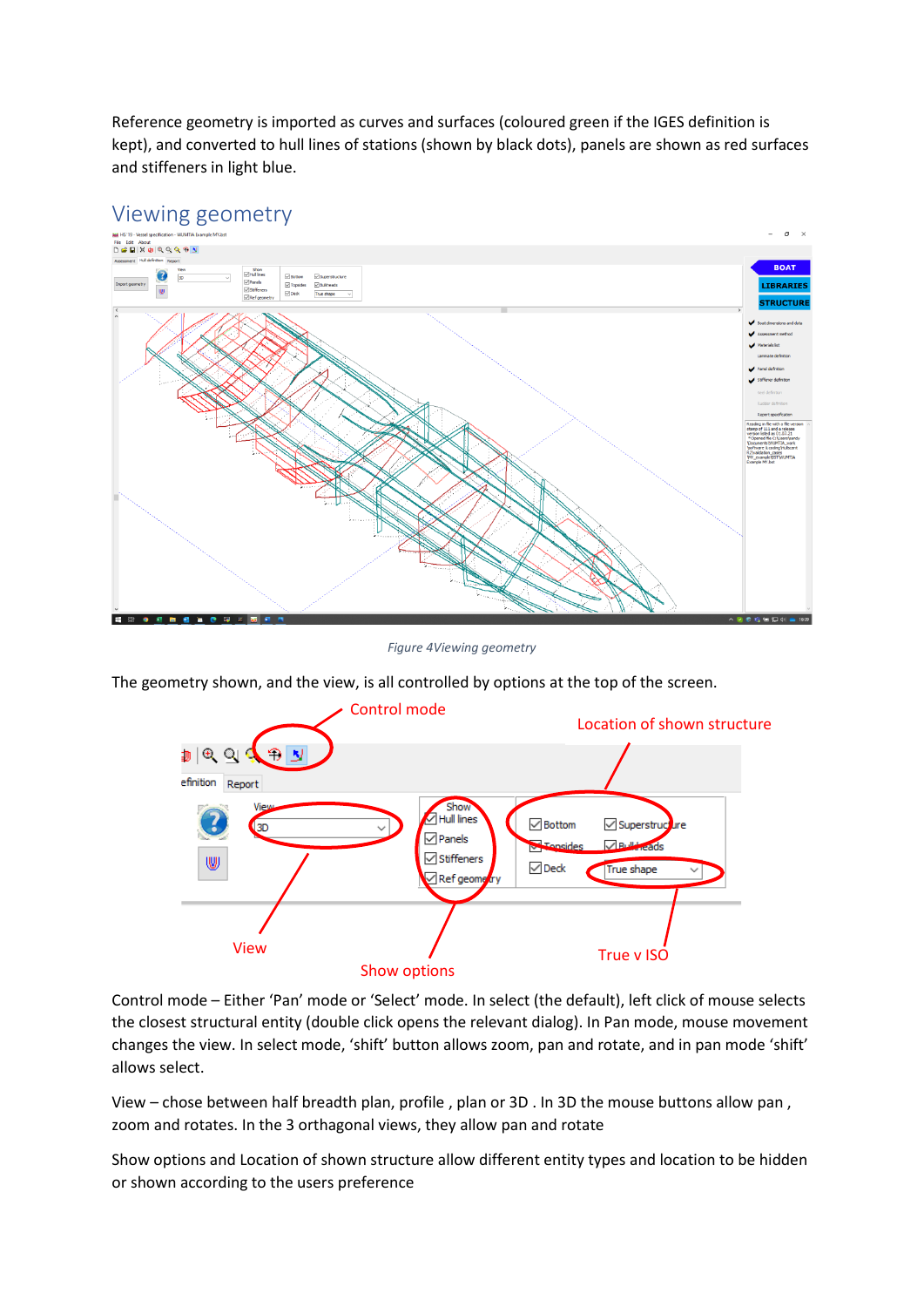Reference geometry is imported as curves and surfaces (coloured green if the IGES definition is kept), and converted to hull lines of stations (shown by black dots), panels are shown as red surfaces and stiffeners in light blue.



## Viewing geometry

*Figure 4Viewing geometry*

The geometry shown, and the view, is all controlled by options at the top of the screen.



Control mode – Either 'Pan' mode or 'Select' mode. In select (the default), left click of mouse selects the closest structural entity (double click opens the relevant dialog). In Pan mode, mouse movement changes the view. In select mode, 'shift' button allows zoom, pan and rotate, and in pan mode 'shift' allows select.

View – chose between half breadth plan, profile , plan or 3D . In 3D the mouse buttons allow pan , zoom and rotates. In the 3 orthagonal views, they allow pan and rotate

Show options and Location of shown structure allow different entity types and location to be hidden or shown according to the users preference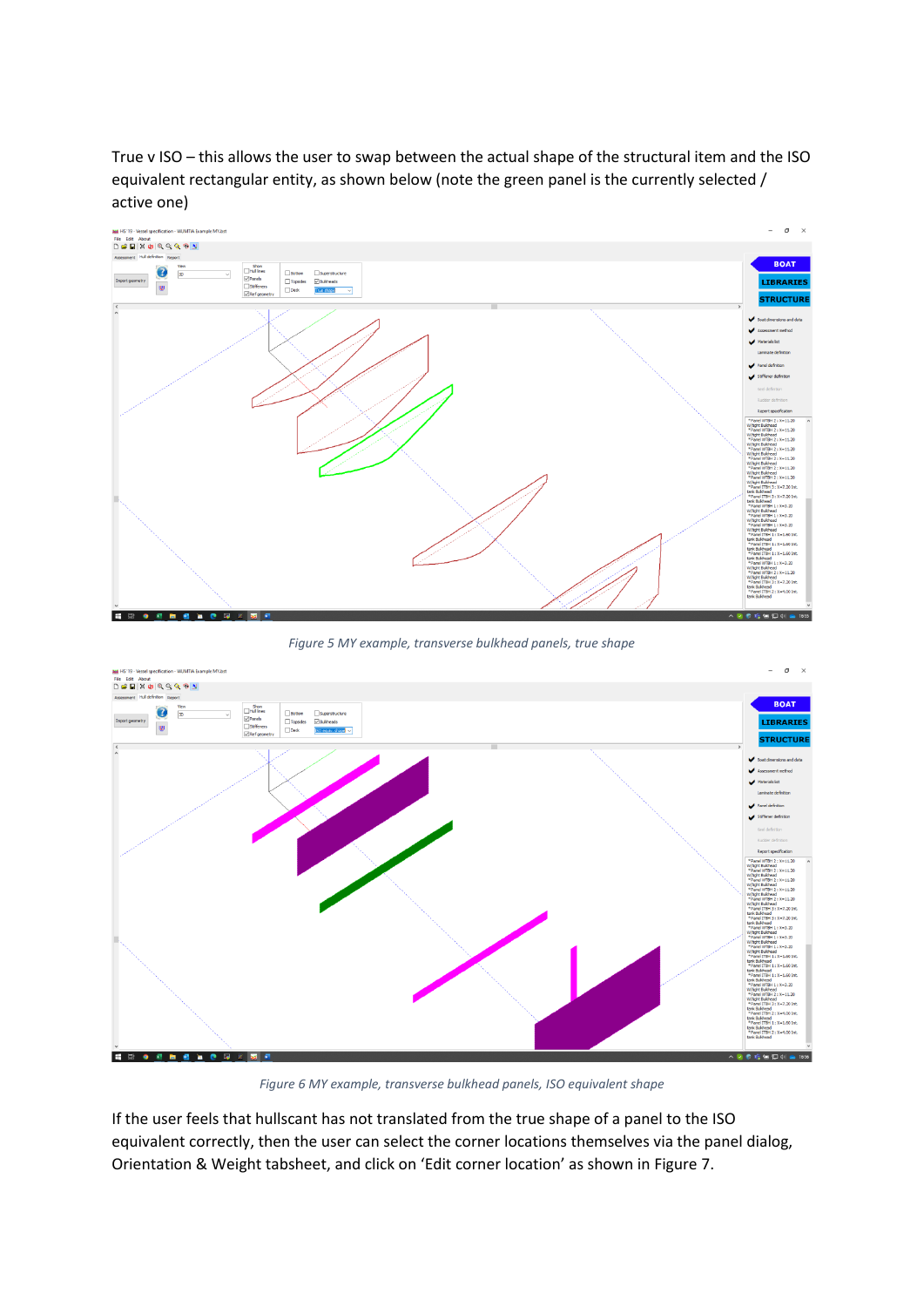True v ISO – this allows the user to swap between the actual shape of the structural item and the ISO equivalent rectangular entity, as shown below (note the green panel is the currently selected / active one)



*Figure 5 MY example, transverse bulkhead panels, true shape*



*Figure 6 MY example, transverse bulkhead panels, ISO equivalent shape*

If the user feels that hullscant has not translated from the true shape of a panel to the ISO equivalent correctly, then the user can select the corner locations themselves via the panel dialog, Orientation & Weight tabsheet, and click on 'Edit corner location' as shown in [Figure 7.](#page-4-0)